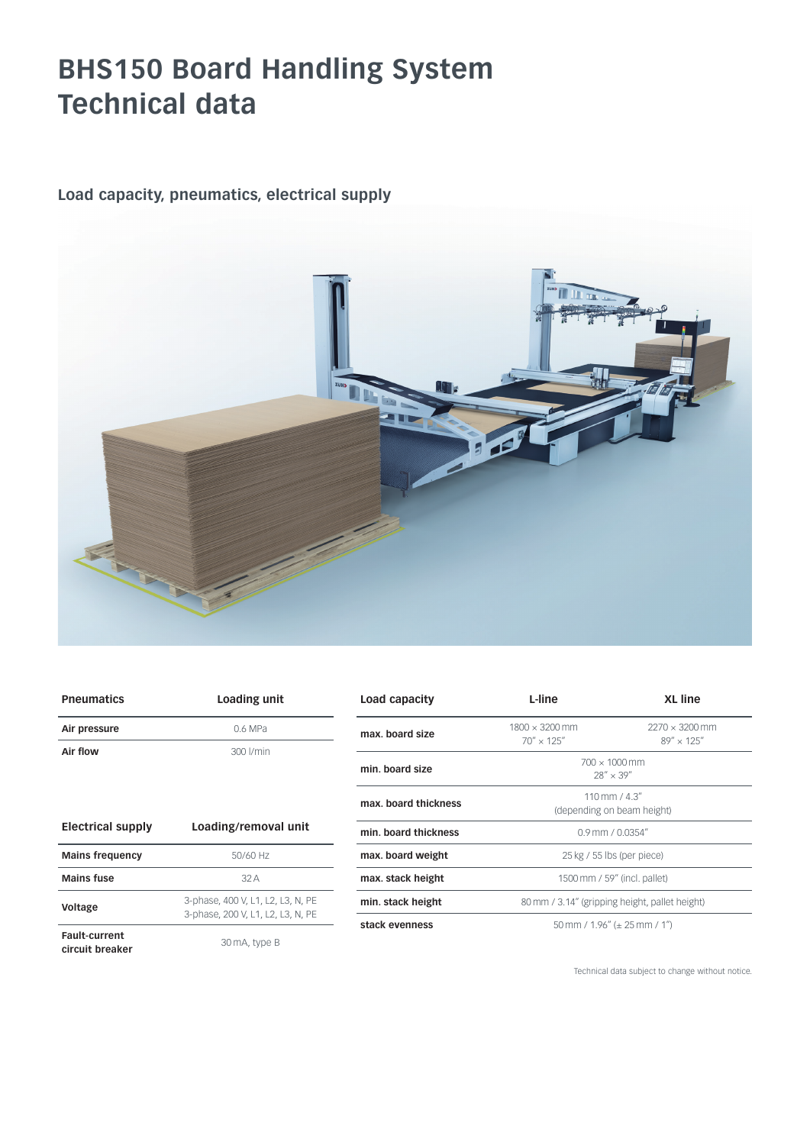## **BHS150 Board Handling System Technical data**

### **Load capacity, pneumatics, electrical supply**



| <b>Pneumatics</b>                       | Loading unit                                                           | Load capacity        | L-line                                         | <b>XL</b> line                                          |
|-----------------------------------------|------------------------------------------------------------------------|----------------------|------------------------------------------------|---------------------------------------------------------|
| Air pressure                            | 0.6 MPa                                                                | max, board size      | $1800 \times 3200$ mm<br>$70'' \times 125''$   | $2270 \times 3200$ mm<br>$89'' \times 125''$            |
| Air flow                                | 300 l/min                                                              |                      |                                                |                                                         |
|                                         |                                                                        | min. board size      | $700 \times 1000$ mm<br>$28'' \times 39''$     |                                                         |
|                                         |                                                                        | max, board thickness |                                                | $110 \, \text{mm}$ / 4.3"<br>(depending on beam height) |
| <b>Electrical supply</b>                | Loading/removal unit                                                   | min. board thickness |                                                | $0.9$ mm / $0.0354$ "                                   |
| <b>Mains frequency</b>                  | 50/60 Hz                                                               | max. board weight    |                                                | $25$ kg / 55 lbs (per piece)                            |
| <b>Mains fuse</b>                       | 32A                                                                    | max. stack height    | 1500 mm / 59" (incl. pallet)                   |                                                         |
| Voltage                                 | 3-phase, 400 V, L1, L2, L3, N, PE<br>3-phase, 200 V, L1, L2, L3, N, PE | min. stack height    | 80 mm / 3.14" (gripping height, pallet height) |                                                         |
|                                         |                                                                        | stack evenness       | 50 mm / $1.96''$ ( $\pm$ 25 mm / 1")           |                                                         |
| <b>Fault-current</b><br>circuit breaker | 30 mA, type B                                                          |                      |                                                |                                                         |

Technical data subject to change without notice.